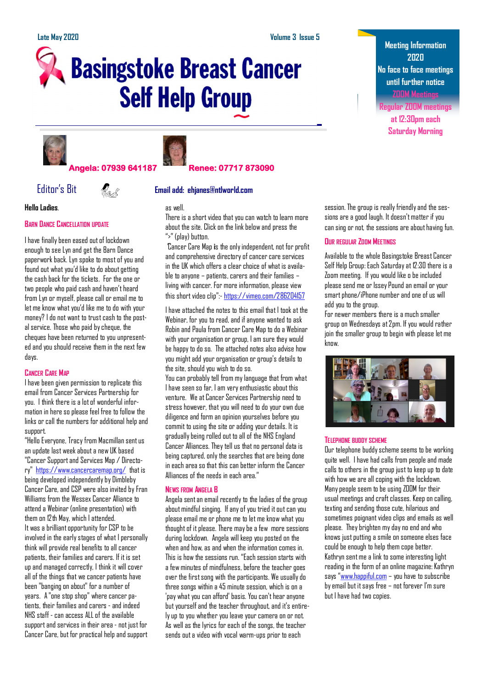# **Basingstoke Breast Cancer Self Help Group**





## **Angela: 07939 641187 Renee: 07717 873090**

# Editor's Bit **Email add: ehjanes@ntlworld.com**

**Hello Ladies**.

#### **BARN DANCE CANCELLATION UPDATE**

I have finally been eased out of lockdown enough to see Lyn and get the Barn Dance paperwork back. Lyn spoke to most of you and found out what you'd like to do about getting the cash back for the tickets. For the one or two people who paid cash and haven't heard from Lyn or myself, please call or email me to let me know what you'd like me to do with your money? I do not want to trust cash to the postal service. Those who paid by cheque, the cheques have been returned to you unpresented and you should receive them in the next few days.

### **CANCER CARE MAP**

I have been given permission to replicate this email from Cancer Services Partnership for you. I think there is a lot of wonderful information in here so please feel free to follow the links or call the numbers for additional help and support.

"Hello Everyone, Tracy from Macmillan sent us an update last week about a new UK based "Cancer Support and Services Map / Directory" <https://www.cancercaremap.org/> that is being developed independently by Dimbleby Cancer Care, and CSP were also invited by Fran Williams from the Wessex Cancer Alliance to attend a Webinar (online presentation) with them on 12th May, which I attended. It was a brilliant opportunity for CSP to be involved in the early stages of what I personally think will provide real benefits to all cancer patients, their families and carers. If it is set up and managed correctly, I think it will cover all of the things that we cancer patients have been "banging on about" for a number of years. A "one stop shop" where cancer patients, their families and carers - and indeed NHS staff - can access ALL of the available support and services in their area - not just for Cancer Care, but for practical help and support



There is a short video that you can watch to learn more about the site. Click on the link below and press the ">" (play) button.

"Cancer Care Map **i**s the only independent, not for profit and comprehensive directory of cancer care services in the UK which offers a clear choice of what is available to anyone – patients, carers and their families – living with cancer. For more information, please view this short video clip":- <https://vimeo.com/286204157>

I have attached the notes to this email that I took at the Webinar, for you to read, and if anyone wanted to ask Robin and Paula from Cancer Care Map to do a Webinar with your organisation or group, I am sure they would be happy to do so. The attached notes also advise how you might add your organisation or group's details to the site, should you wish to do so.

You can probably tell from my language that from what I have seen so far, I am very enthusiastic about this venture. We at Cancer Services Partnership need to stress however, that you will need to do your own due diligence and form an opinion yourselves before you commit to using the site or adding your details. It is gradually being rolled out to all of the NHS England Cancer Alliances. They tell us that no personal data is being captured, only the searches that are being done in each area so that this can better inform the Cancer Alliances of the needs in each area."

#### **NEWS FROM ANGELA B**

Angela sent an email recently to the ladies of the group about mindful singing. If any of you tried it out can you please email me or phone me to let me know what you thought of it please. There may be a few more sessions during lockdown. Angela will keep you posted on the when and how, as and when the information comes in. This is how the sessions run. "Each session starts with a few minutes of mindfulness, before the teacher goes over the first song with the participants. We usually do three songs within a 45 minute session, which is on a 'pay what you can afford' basis. You can't hear anyone but yourself and the teacher throughout, and it's entirely up to you whether you leave your camera on or not. As well as the lyrics for each of the songs, the teacher sends out a video with vocal warm-ups prior to each

**Meeting Information 2020 No face to face meetings until further notice ZOOM Meetings**

**Regular ZOOM meetings at 12:30pm each Saturday Morning**

session. The group is really friendly and the sessions are a good laugh. It doesn't matter if you can sing or not, the sessions are about having fun.

### **OUR REGULAR ZOOM MEETINGS**

Available to the whole Basingstoke Breast Cancer Self Help Group: Each Saturday at 12:30 there is a Zoom meeting. If you would like o be included please send me or Issey Pound an email or your smart phone/iPhone number and one of us will add you to the group.

For newer members there is a much smaller group on Wednesdays at 2pm. If you would rather join the smaller group to begin with please let me know.



#### **TELEPHONE BUDDY SCHEME**

Our telephone buddy scheme seems to be working quite well. I have had calls from people and made calls to others in the group just to keep up to date with how we are all coping with the lockdown. Many people seem to be using ZOOM for their usual meetings and craft classes. Keep on calling, texting and sending those cute, hilarious and sometimes poignant video clips and emails as well please. They brighten my day no end and who knows just putting a smile on someone elses face could be enough to help them cope better. Kathryn sent me a link to some interesting light reading in the form of an online magazine: Kathryn says "[www.happiful.com](http://www.happiful.com) - you have to subscribe by email but it says free – not forever I'm sure but I have had two copies.